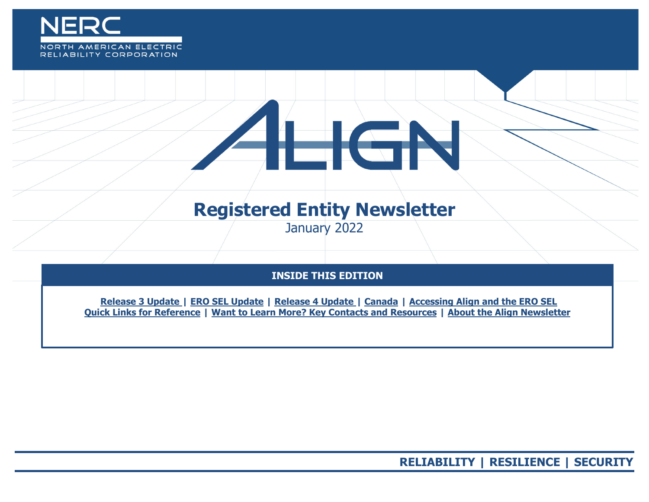

# $\equiv$  GP

## **Registered Entity Newsletter**

January 2022

### **INSIDE THIS EDITION**

**Release 3 Update | ERO SEL Update | Release 4 Update | Canada | Accessing Align [and the ERO SEL](#page-2-0) [Quick Links for Reference](#page-3-0) | [Want to Learn More? Key Contacts and Resources](#page-4-0) | [About the Align Newsletter](#page-5-0)**

**RELIABILITY | RESILIENCE | SECURITY**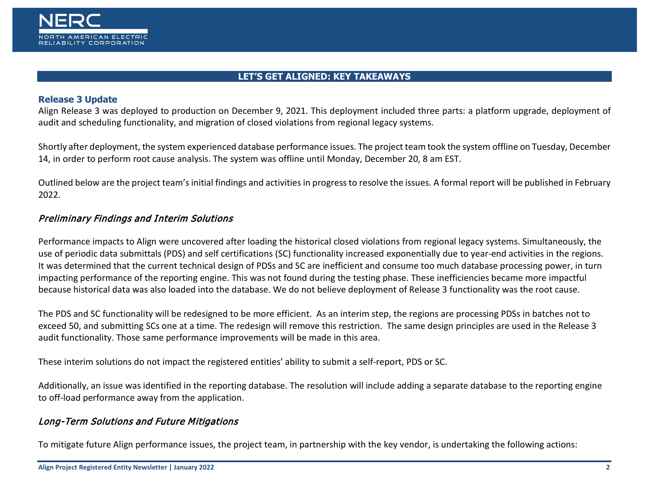

#### **LET'S GET ALIGNED: KEY TAKEAWAYS**

#### **Release 3 Update**

Align Release 3 was deployed to production on December 9, 2021. This deployment included three parts: a platform upgrade, deployment of audit and scheduling functionality, and migration of closed violations from regional legacy systems.

Shortly after deployment, the system experienced database performance issues. The project team took the system offline on Tuesday, December 14, in order to perform root cause analysis. The system was offline until Monday, December 20, 8 am EST.

Outlined below are the project team's initial findings and activities in progress to resolve the issues. A formal report will be published in February 2022.

#### Preliminary Findings and Interim Solutions

Performance impacts to Align were uncovered after loading the historical closed violations from regional legacy systems. Simultaneously, the use of periodic data submittals (PDS) and self certifications (SC) functionality increased exponentially due to year-end activities in the regions. It was determined that the current technical design of PDSs and SC are inefficient and consume too much database processing power, in turn impacting performance of the reporting engine. This was not found during the testing phase. These inefficiencies became more impactful because historical data was also loaded into the database. We do not believe deployment of Release 3 functionality was the root cause.

The PDS and SC functionality will be redesigned to be more efficient. As an interim step, the regions are processing PDSs in batches not to exceed 50, and submitting SCs one at a time. The redesign will remove this restriction. The same design principles are used in the Release 3 audit functionality. Those same performance improvements will be made in this area.

These interim solutions do not impact the registered entities' ability to submit a self-report, PDS or SC.

Additionally, an issue was identified in the reporting database. The resolution will include adding a separate database to the reporting engine to off-load performance away from the application.

#### Long-Term Solutions and Future Mitigations

To mitigate future Align performance issues, the project team, in partnership with the key vendor, is undertaking the following actions: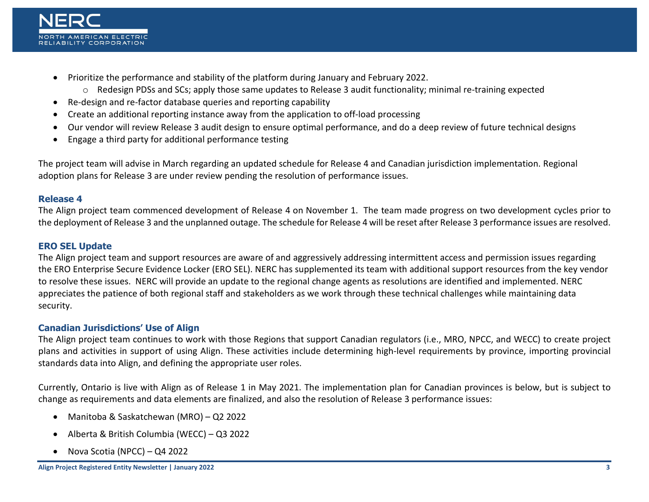

- Prioritize the performance and stability of the platform during January and February 2022.
	- o Redesign PDSs and SCs; apply those same updates to Release 3 audit functionality; minimal re-training expected
- Re-design and re-factor database queries and reporting capability
- Create an additional reporting instance away from the application to off-load processing
- Our vendor will review Release 3 audit design to ensure optimal performance, and do a deep review of future technical designs
- Engage a third party for additional performance testing

The project team will advise in March regarding an updated schedule for Release 4 and Canadian jurisdiction implementation. Regional adoption plans for Release 3 are under review pending the resolution of performance issues.

#### <span id="page-2-0"></span>**Release 4**

The Align project team commenced development of Release 4 on November 1. The team made progress on two development cycles prior to the deployment of Release 3 and the unplanned outage. The schedule for Release 4 will be reset after Release 3 performance issues are resolved.

#### **ERO SEL Update**

The Align project team and support resources are aware of and aggressively addressing intermittent access and permission issues regarding the ERO Enterprise Secure Evidence Locker (ERO SEL). NERC has supplemented its team with additional support resources from the key vendor to resolve these issues. NERC will provide an update to the regional change agents as resolutions are identified and implemented. NERC appreciates the patience of both regional staff and stakeholders as we work through these technical challenges while maintaining data security.

#### **Canadian Jurisdictions' Use of Align**

The Align project team continues to work with those Regions that support Canadian regulators (i.e., MRO, NPCC, and WECC) to create project plans and activities in support of using Align. These activities include determining high-level requirements by province, importing provincial standards data into Align, and defining the appropriate user roles.

Currently, Ontario is live with Align as of Release 1 in May 2021. The implementation plan for Canadian provinces is below, but is subject to change as requirements and data elements are finalized, and also the resolution of Release 3 performance issues:

- Manitoba & Saskatchewan (MRO) Q2 2022
- Alberta & British Columbia (WECC) Q3 2022
- Nova Scotia (NPCC) Q4 2022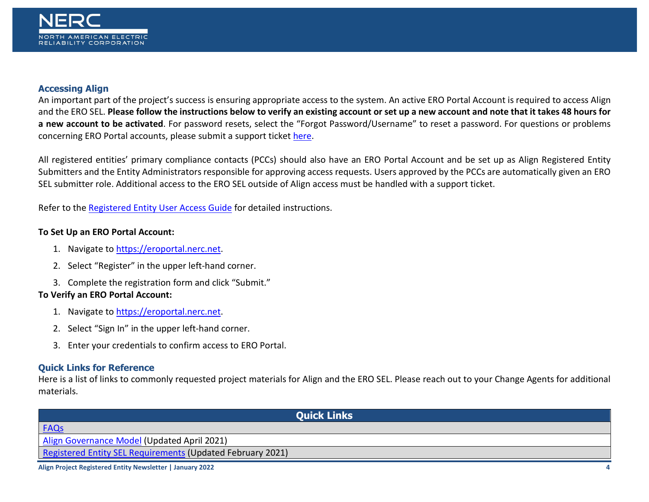#### **Accessing Align**

An important part of the project's success is ensuring appropriate access to the system. An active ERO Portal Account is required to access Align and the ERO SEL. **Please follow the instructions below to verify an existing account or set up a new account and note that it takes 48 hours for a new account to be activated**. For password resets, select the "Forgot Password/Username" to reset a password. For questions or problems concerning ERO Portal accounts, please submit a support ticket [here.](https://support.nerc.net/)

All registered entities' primary compliance contacts (PCCs) should also have an ERO Portal Account and be set up as Align Registered Entity Submitters and the Entity Administrators responsible for approving access requests. Users approved by the PCCs are automatically given an ERO SEL submitter role. Additional access to the ERO SEL outside of Align access must be handled with a support ticket.

Refer to the [Registered Entity User Access Guide](https://trn.nerc.com/User%20Guide/RE_TTT_User_Access.pdf) for detailed instructions.

#### **To Set Up an ERO Portal Account:**

- 1. Navigate t[o https://eroportal.nerc.net.](https://eroportal.nerc.net/)
- 2. Select "Register" in the upper left-hand corner.
- 3. Complete the registration form and click "Submit."

#### **To Verify an ERO Portal Account:**

- 1. Navigate t[o https://eroportal.nerc.net.](https://eroportal.nerc.net/)
- 2. Select "Sign In" in the upper left-hand corner.
- 3. Enter your credentials to confirm access to ERO Portal.

#### <span id="page-3-0"></span>**Quick Links for Reference**

Here is a list of links to commonly requested project materials for Align and the ERO SEL. Please reach out to your Change Agents for additional materials.

| <b>Ouick Links</b>                                         |
|------------------------------------------------------------|
| <b>FAQs</b>                                                |
| Align Governance Model (Updated April 2021)                |
| Registered Entity SEL Requirements (Updated February 2021) |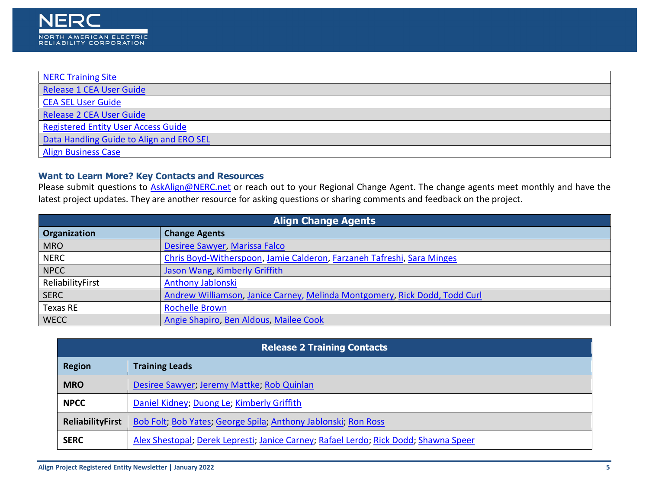| NERC Training Site                       |
|------------------------------------------|
| Release 1 CEA User Guide                 |
| CEA SEL User Guide                       |
| Release 2 CEA User Guide                 |
| Registered Entity User Access Guide      |
| Data Handling Guide to Align and ERO SEL |
| <b>Align Business Case</b>               |

#### <span id="page-4-0"></span>**Want to Learn More? Key Contacts and Resources**

Please submit questions to **AskAlign@NERC.net** or reach out to your Regional Change Agent. The change agents meet monthly and have the latest project updates. They are another resource for asking questions or sharing comments and feedback on the project.

| <b>Align Change Agents</b> |                                                                            |  |
|----------------------------|----------------------------------------------------------------------------|--|
| Organization               | <b>Change Agents</b>                                                       |  |
| <b>MRO</b>                 | Desiree Sawyer, Marissa Falco                                              |  |
| <b>NERC</b>                | Chris Boyd-Witherspoon, Jamie Calderon, Farzaneh Tafreshi, Sara Minges     |  |
| <b>NPCC</b>                | Jason Wang, Kimberly Griffith                                              |  |
| ReliabilityFirst           | <b>Anthony Jablonski</b>                                                   |  |
| <b>SERC</b>                | Andrew Williamson, Janice Carney, Melinda Montgomery, Rick Dodd, Todd Curl |  |
| Texas RE                   | <b>Rochelle Brown</b>                                                      |  |
| <b>WECC</b>                | Angie Shapiro, Ben Aldous, Mailee Cook                                     |  |

| <b>Release 2 Training Contacts</b> |                                                                                      |  |
|------------------------------------|--------------------------------------------------------------------------------------|--|
| <b>Region</b>                      | <b>Training Leads</b>                                                                |  |
| <b>MRO</b>                         | Desiree Sawyer, Jeremy Mattke, Rob Quinlan                                           |  |
| <b>NPCC</b>                        | Daniel Kidney; Duong Le; Kimberly Griffith                                           |  |
| <b>ReliabilityFirst</b>            | Bob Folt; Bob Yates; George Spila; Anthony Jablonski, Ron Ross                       |  |
| <b>SERC</b>                        | Alex Shestopal; Derek Lepresti; Janice Carney; Rafael Lerdo; Rick Dodd; Shawna Speer |  |